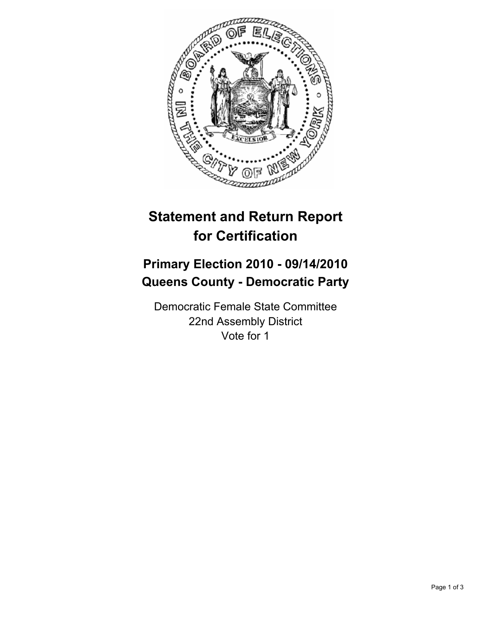

# **Statement and Return Report for Certification**

## **Primary Election 2010 - 09/14/2010 Queens County - Democratic Party**

Democratic Female State Committee 22nd Assembly District Vote for 1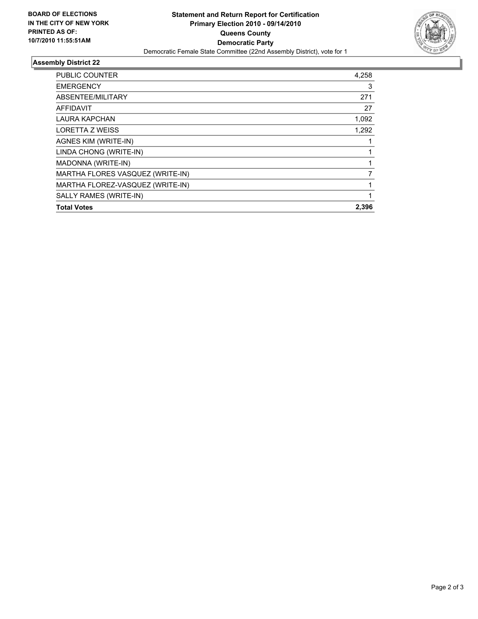

### **Assembly District 22**

| PUBLIC COUNTER                   | 4,258 |
|----------------------------------|-------|
| <b>EMERGENCY</b>                 | 3     |
| ABSENTEE/MILITARY                | 271   |
| <b>AFFIDAVIT</b>                 | 27    |
| <b>LAURA KAPCHAN</b>             | 1,092 |
| LORETTA Z WEISS                  | 1,292 |
| AGNES KIM (WRITE-IN)             |       |
| LINDA CHONG (WRITE-IN)           |       |
| MADONNA (WRITE-IN)               | 1     |
| MARTHA FLORES VASQUEZ (WRITE-IN) | 7     |
| MARTHA FLOREZ-VASQUEZ (WRITE-IN) |       |
| SALLY RAMES (WRITE-IN)           | 1     |
| <b>Total Votes</b>               | 2.396 |